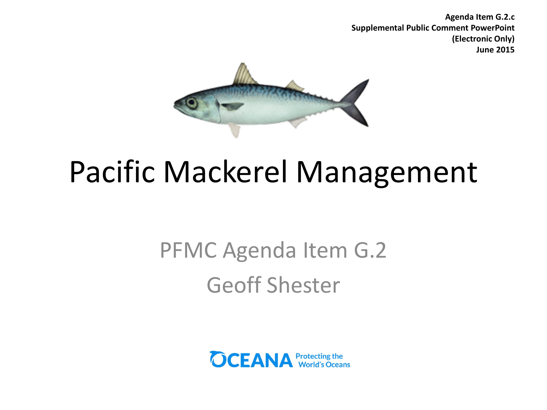**Agenda Item G.2.c Supplemental Public Comment PowerPoint (Electronic Only) June 2015**



### Pacific Mackerel Management

### PFMC Agenda Item G.2 Geoff Shester

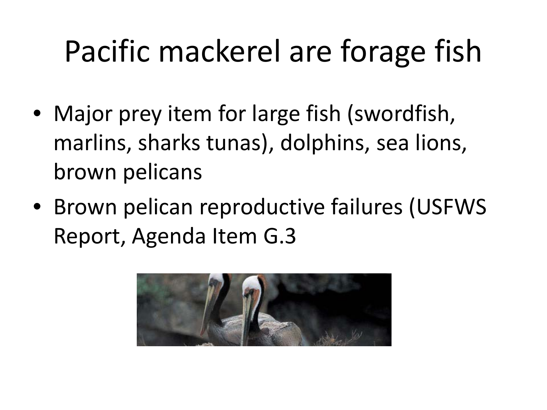## Pacific mackerel are forage fish

- Major prey item for large fish (swordfish, marlins, sharks tunas), dolphins, sea lions, brown pelicans
- Brown pelican reproductive failures (USFWS Report, Agenda Item G.3

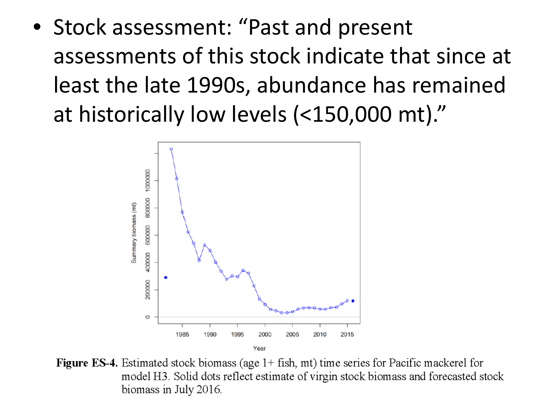• Stock assessment: "Past and present assessments of this stock indicate that since at least the late 1990s, abundance has remained at historically low levels (<150,000 mt)."



**Figure ES-4.** Estimated stock biomass (age  $1+$  fish, mt) time series for Pacific mackerel for model H3. Solid dots reflect estimate of virgin stock biomass and forecasted stock biomass in July 2016.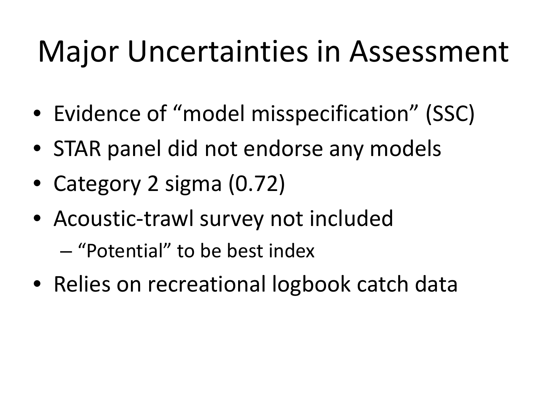### Major Uncertainties in Assessment

- Evidence of "model misspecification" (SSC)
- STAR panel did not endorse any models
- Category 2 sigma (0.72)
- Acoustic-trawl survey not included
	- "Potential" to be best index
- Relies on recreational logbook catch data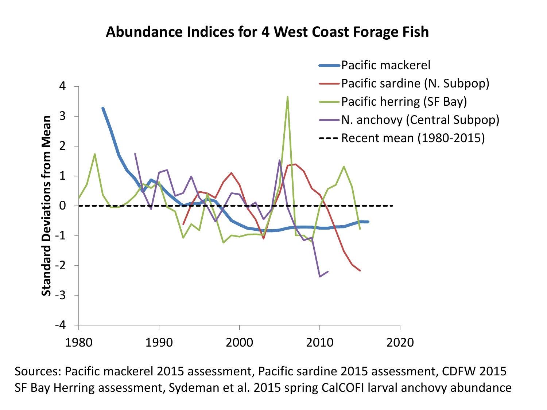#### **Abundance Indices for 4 West Coast Forage Fish**



Sources: Pacific mackerel 2015 assessment, Pacific sardine 2015 assessment, CDFW 2015 SF Bay Herring assessment, Sydeman et al. 2015 spring CalCOFI larval anchovy abundance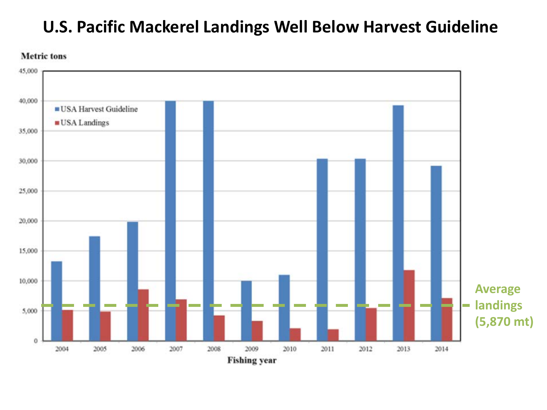### **U.S. Pacific Mackerel Landings Well Below Harvest Guideline**

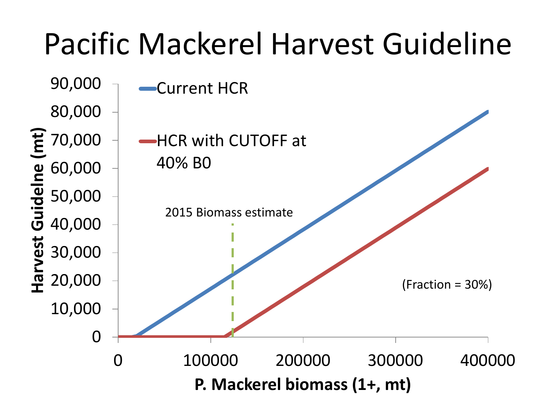# Pacific Mackerel Harvest Guideline